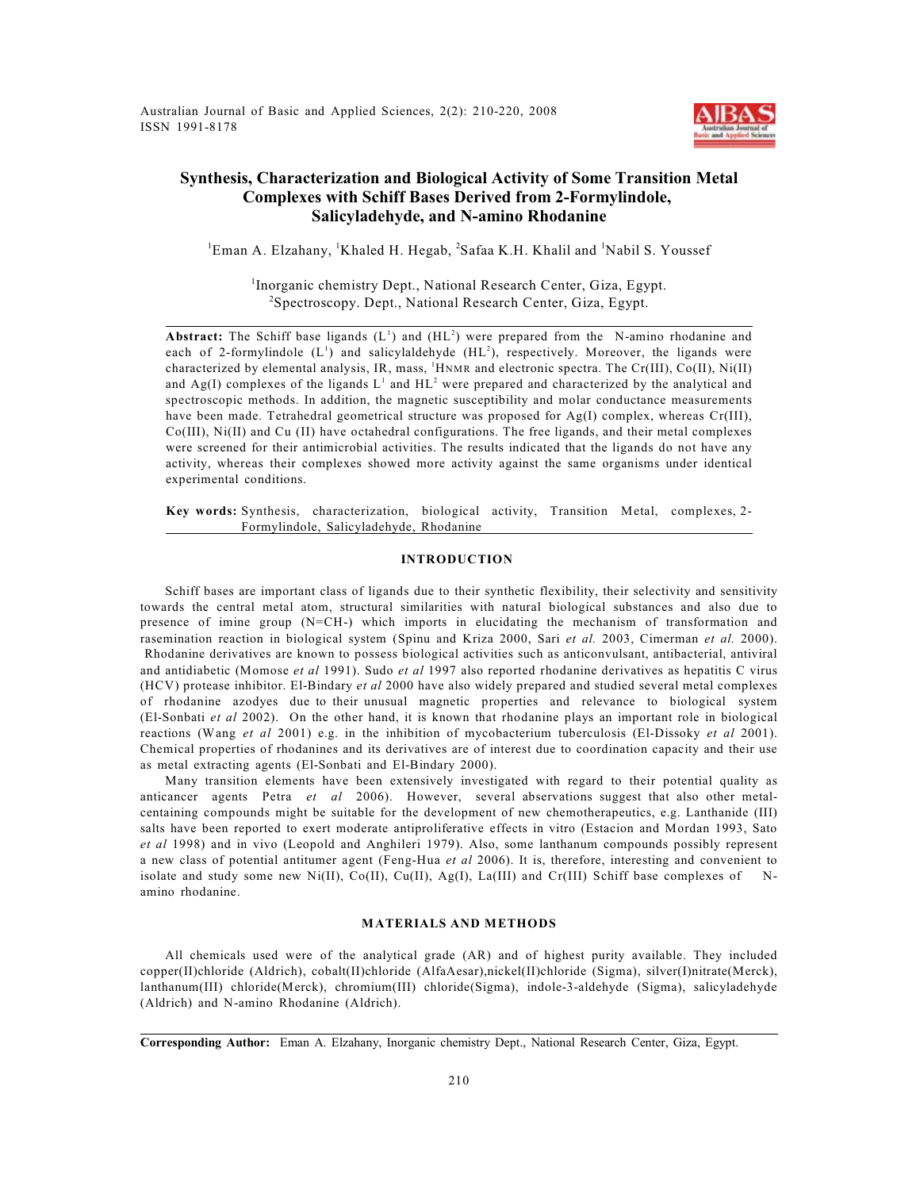Australian Journal of Basic and Applied Sciences, 2(2): 210-220, 2008 ISSN 1991-8178



# **Synthesis, Characterization and Biological Activity of Some Transition Metal Complexes with Schiff Bases Derived from 2-Formylindole, Salicyladehyde, and N-amino Rhodanine**

 ${}^{1}$ Eman A. Elzahany,  ${}^{1}$ Khaled H. Hegab,  ${}^{2}$ Safaa K.H. Khalil and  ${}^{1}$ Nabil S. Youssef

<sup>1</sup>Inorganic chemistry Dept., National Research Center, Giza, Egypt.  ${}^{2}$ Spectroscopy. Dept., National Research Center, Giza, Egypt.

**Abstract:** The Schiff base ligands  $(L^1)$  and  $(HL^2)$  were prepared from the N-amino rhodanine and each of 2-formylindole  $(L^1)$  and salicylaldehyde  $(HL^2)$ , respectively. Moreover, the ligands were characterized by elemental analysis, IR, mass,  ${}^{1}$ HNMR and electronic spectra. The Cr(III), Co(II), Ni(II) and Ag(I) complexes of the ligands  $L^1$  and  $HL^2$  were prepared and characterized by the analytical and spectroscopic methods. In addition, the magnetic susceptibility and molar conductance measurements have been made. Tetrahedral geometrical structure was proposed for Ag(I) complex, whereas Cr(III), Co(III), Ni(II) and Cu (II) have octahedral configurations. The free ligands, and their metal complexes were screened for their antimicrobial activities. The results indicated that the ligands do not have any activity, whereas their complexes showed more activity against the same organisms under identical experimental conditions.

**Key words:** Synthesis, characterization, biological activity, Transition Metal, complexes, 2- Formylindole, Salicyladehyde, Rhodanine

# **INTRODUCTION**

Schiff bases are important class of ligands due to their synthetic flexibility, their selectivity and sensitivity towards the central metal atom, structural similarities with natural biological substances and also due to presence of imine group (N=CH-) which imports in elucidating the mechanism of transformation and rasemination reaction in biological system (Spinu and Kriza 2000, Sari *et al.* 2003, Cimerman *et al.* 2000). Rhodanine derivatives are known to possess biological activities such as anticonvulsant, antibacterial, antiviral and antidiabetic (Momose *et al* 1991). Sudo *et al* 1997 also reported rhodanine derivatives as hepatitis C virus (HCV) protease inhibitor. El-Bindary *et al* 2000 have also widely prepared and studied several metal complexes of rhodanine azodyes due to their unusual magnetic properties and relevance to biological system (El-Sonbati *et al* 2002). On the other hand, it is known that rhodanine plays an important role in biological reactions (Wang *et al* 2001) e.g. in the inhibition of mycobacterium tuberculosis (El-Dissoky *et al* 2001). Chemical properties of rhodanines and its derivatives are of interest due to coordination capacity and their use as metal extracting agents (El-Sonbati and El-Bindary 2000).

Many transition elements have been extensively investigated with regard to their potential quality as anticancer agents Petra *et al* 2006). However, several abservations suggest that also other metalcentaining compounds might be suitable for the development of new chemotherapeutics, e.g. Lanthanide (III) salts have been reported to exert moderate antiproliferative effects in vitro (Estacion and Mordan 1993, Sato *et al* 1998) and in vivo (Leopold and Anghileri 1979). Also, some lanthanum compounds possibly represent a new class of potential antitumer agent (Feng-Hua *et al* 2006). It is, therefore, interesting and convenient to isolate and study some new  $Ni(II)$ ,  $Co(II)$ ,  $Cu(II)$ ,  $Ag(II)$ ,  $La(III)$  and  $Cr(III)$  Schiff base complexes of Namino rhodanine.

# **MATERIALS AND METHODS**

All chemicals used were of the analytical grade (AR) and of highest purity available. They included copper(II)chloride (Aldrich), cobalt(II)chloride (AlfaAesar),nickel(II)chloride (Sigma), silver(I)nitrate(Merck), lanthanum(III) chloride(Merck), chromium(III) chloride(Sigma), indole-3-aldehyde (Sigma), salicyladehyde (Aldrich) and N-amino Rhodanine (Aldrich).

**Corresponding Author:** Eman A. Elzahany, Inorganic chemistry Dept., National Research Center, Giza, Egypt.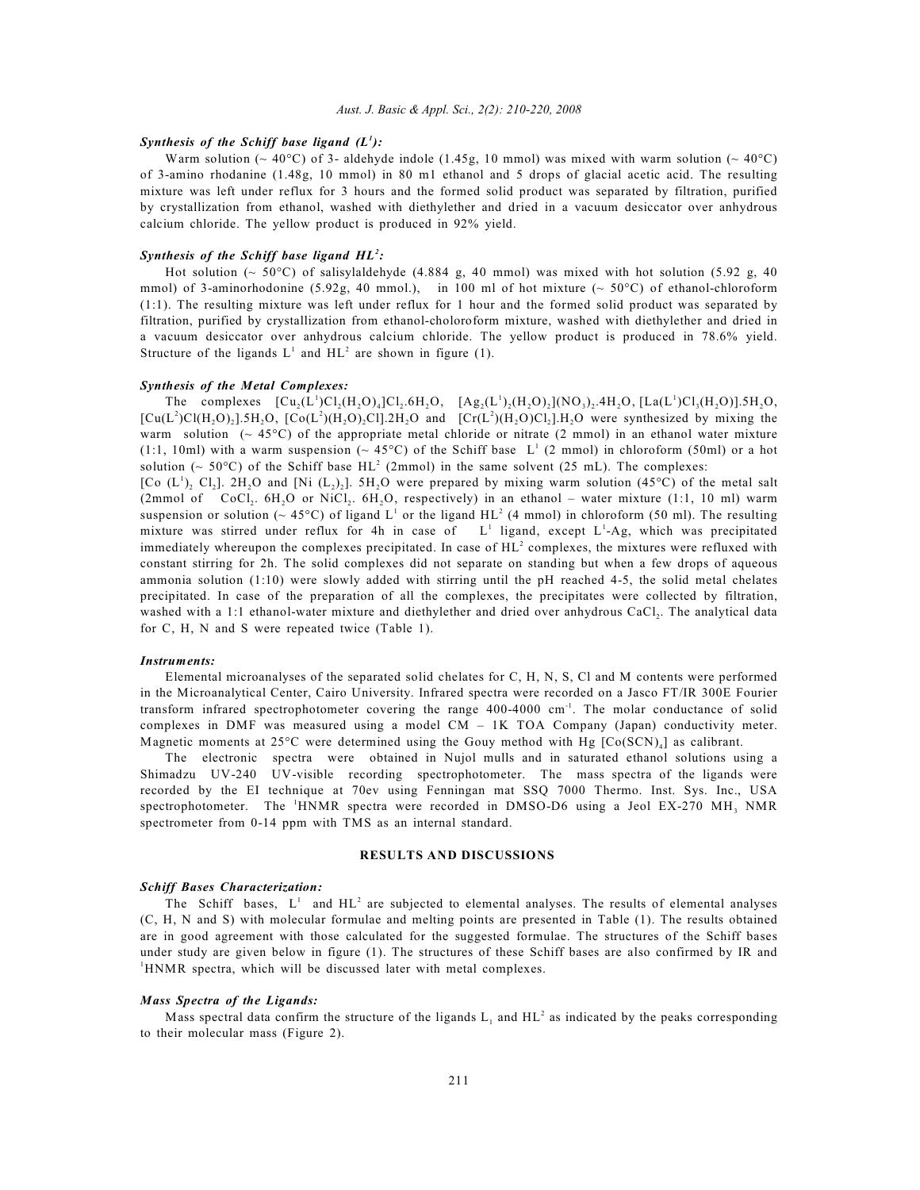### *Aust. J. Basic & Appl. Sci., 2(2): 210-220, 2008*

### *Synthesis of the Schiff base ligand*  $(L^1)$ :

Warm solution ( $\sim 40^{\circ}$ C) of 3- aldehyde indole (1.45g, 10 mmol) was mixed with warm solution ( $\sim 40^{\circ}$ C) of 3-amino rhodanine (1.48g, 10 mmol) in 80 m1 ethanol and 5 drops of glacial acetic acid. The resulting mixture was left under reflux for 3 hours and the formed solid product was separated by filtration, purified by crystallization from ethanol, washed with diethylether and dried in a vacuum desiccator over anhydrous calcium chloride. The yellow product is produced in 92% yield.

## *Synthesis of the Schiff base ligand HL<sup>2</sup>:*

Hot solution ( $\sim$  50°C) of salisylaldehyde (4.884 g, 40 mmol) was mixed with hot solution (5.92 g, 40 mmol) of 3-aminorhodonine (5.92g, 40 mmol.), in 100 ml of hot mixture ( $\sim$  50°C) of ethanol-chloroform (1:1). The resulting mixture was left under reflux for 1 hour and the formed solid product was separated by filtration, purified by crystallization from ethanol-choloroform mixture, washed with diethylether and dried in a vacuum desiccator over anhydrous calcium chloride. The yellow product is produced in 78.6% yield. Structure of the ligands  $L^1$  and  $HL^2$  are shown in figure (1).

## *Synthesis of the Metal Complexes:*

The complexes  $[Cu_2(L^1)Cl_2(H_2O)_4]Cl_2.6H_2O$ ,  $[Ag_2(L^1)_2(H_2O)_2](NO_3)_2.4H_2O$ ,  $[La(L^1)Cl_3(H_2O)].5H_2O$ ,  $[Cu(L<sup>2</sup>)Cl(H, O),]$ .5H,O,  $[Co(L<sup>2</sup>)H, O), Cl]$ .2H,O and  $[Cr(L<sup>2</sup>)H, O)Cl]$ .H,O were synthesized by mixing the warm solution ( $\sim$  45°C) of the appropriate metal chloride or nitrate (2 mmol) in an ethanol water mixture (1:1, 10ml) with a warm suspension ( $\sim$  45°C) of the Schiff base L<sup>1</sup> (2 mmol) in chloroform (50ml) or a hot solution ( $\sim$  50°C) of the Schiff base HL<sup>2</sup> (2mmol) in the same solvent (25 mL). The complexes:

[Co  $(L^1)$ , Cl<sub>2</sub>]. 2H<sub>2</sub>O and [Ni  $(L_2)_2$ ]. 5H<sub>2</sub>O were prepared by mixing warm solution (45<sup>o</sup>C) of the metal salt  $(2 \text{mmol of } CoCl<sub>1</sub>, 6H<sub>2</sub>O or NiCl<sub>2</sub>, 6H<sub>3</sub>O, respectively)$  in an ethanol – water mixture  $(1:1, 10 \text{ ml})$  warm suspension or solution ( $\sim$  45°C) of ligand L<sup>1</sup> or the ligand HL<sup>2</sup> (4 mmol) in chloroform (50 ml). The resulting mixture was stirred under reflux for 4h in case of  $L<sup>1</sup>$  ligand, except  $L<sup>1</sup>-Ag$ , which was precipitated immediately whereupon the complexes precipitated. In case of  $HL^2$  complexes, the mixtures were refluxed with constant stirring for 2h. The solid complexes did not separate on standing but when a few drops of aqueous ammonia solution (1:10) were slowly added with stirring until the pH reached 4-5, the solid metal chelates precipitated. In case of the preparation of all the complexes, the precipitates were collected by filtration, washed with a 1:1 ethanol-water mixture and diethylether and dried over anhydrous CaCl,. The analytical data for C, H, N and S were repeated twice (Table 1).

### *Instruments:*

Elemental microanalyses of the separated solid chelates for C, H, N, S, Cl and M contents were performed in the Microanalytical Center, Cairo University. Infrared spectra were recorded on a Jasco FT/IR 300E Fourier transform infrared spectrophotometer covering the range  $400-4000$  cm<sup>-1</sup>. The molar conductance of solid complexes in DMF was measured using a model CM – 1K TOA Company (Japan) conductivity meter. Magnetic moments at 25 $^{\circ}$ C were determined using the Gouy method with Hg [Co(SCN)<sub>a</sub>] as calibrant.

The electronic spectra were obtained in Nujol mulls and in saturated ethanol solutions using a Shimadzu UV-240 UV-visible recording spectrophotometer. The mass spectra of the ligands were recorded by the EI technique at 70ev using Fenningan mat SSQ 7000 Thermo. Inst. Sys. Inc., USA spectrophotometer. The  $\mathrm{^1HNMR}$  spectra were recorded in DMSO-D6 using a Jeol EX-270 MH, NMR spectrometer from 0-14 ppm with TMS as an internal standard.

# **RESULTS AND DISCUSSIONS**

#### *Schiff Bases Characterization:*

The Schiff bases,  $L^1$  and  $HL^2$  are subjected to elemental analyses. The results of elemental analyses (C, H, N and S) with molecular formulae and melting points are presented in Table (1). The results obtained are in good agreement with those calculated for the suggested formulae. The structures of the Schiff bases under study are given below in figure (1). The structures of these Schiff bases are also confirmed by IR and <sup>1</sup>HNMR spectra, which will be discussed later with metal complexes.

### *Mass Spectra of the Ligands:*

Mass spectral data confirm the structure of the ligands  $L_1$  and  $HL^2$  as indicated by the peaks corresponding to their molecular mass (Figure 2).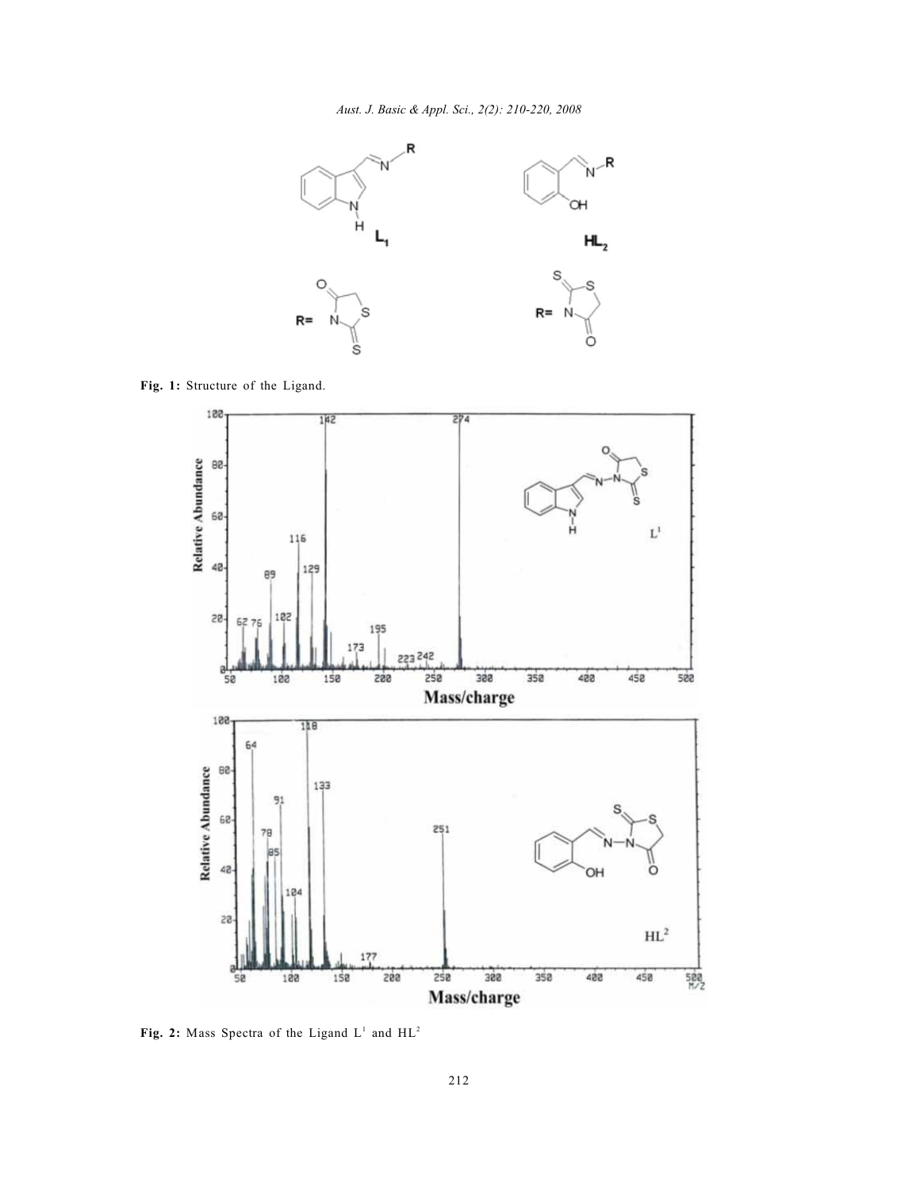

**Fig. 1:** Structure of the Ligand.



Fig. 2: Mass Spectra of the Ligand  $L^1$  and  $HL^2$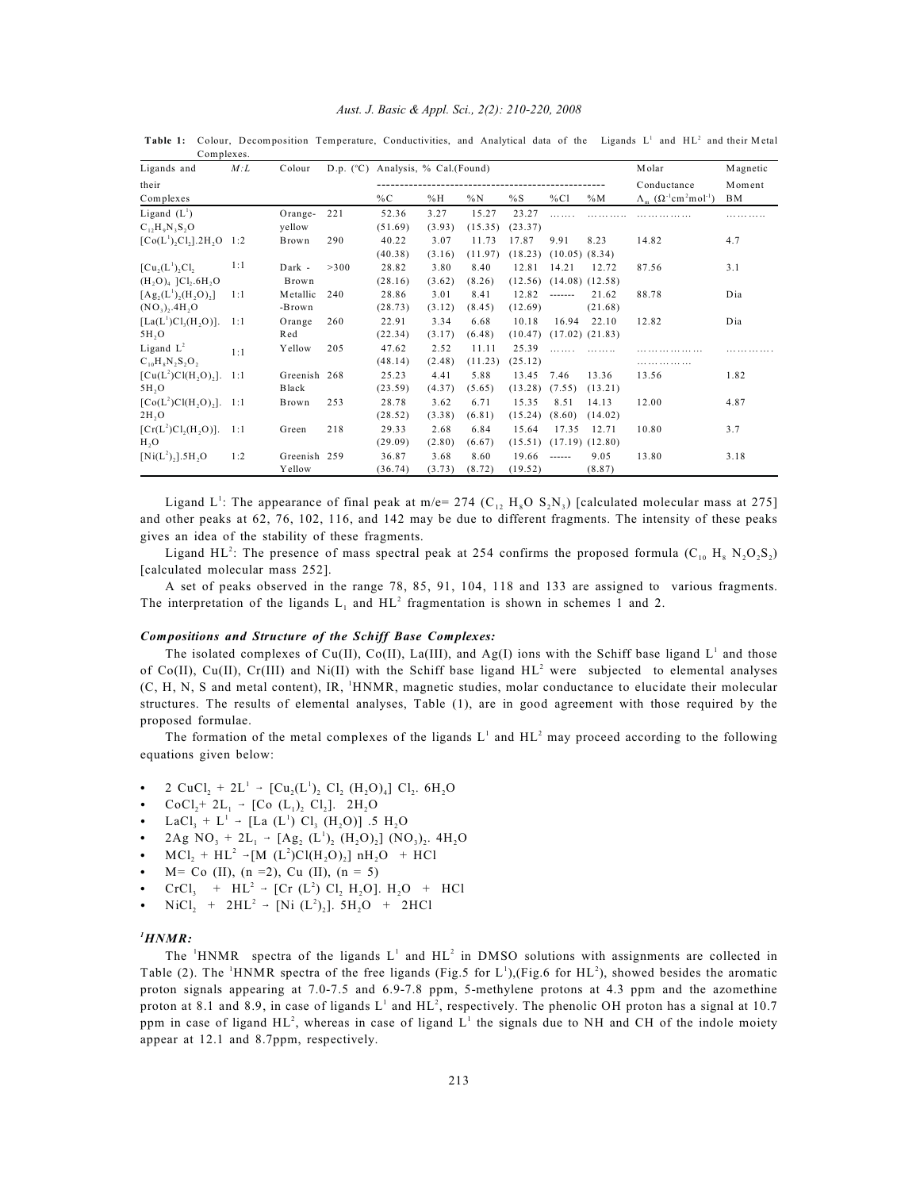|  |  |  |  |  | Aust. J. Basic & Appl. Sci., 2(2): 210-220, 2008 |  |
|--|--|--|--|--|--------------------------------------------------|--|
|--|--|--|--|--|--------------------------------------------------|--|

| Ligands and                                      | M: L | Colour       | D.p. (°C) Analysis, % Cal.(Found) |         |        |         |         |                               |                     | Molar                                                             | Magnetic |
|--------------------------------------------------|------|--------------|-----------------------------------|---------|--------|---------|---------|-------------------------------|---------------------|-------------------------------------------------------------------|----------|
| their                                            |      |              |                                   |         |        |         |         |                               |                     | Conductance                                                       | Moment   |
| Complexes                                        |      |              |                                   | %C      | %H     | %N      | %S      | %CI                           | $\%M$               | $\Lambda_{m}$ ( $\Omega^{-1}$ cm <sup>2</sup> mol <sup>-1</sup> ) | ΒM       |
| Ligand $(L^1)$                                   |      | Orange-      | 221                               | 52.36   | 3.27   | 15.27   | 23.27   |                               |                     |                                                                   |          |
| $C_1, H_0N, S, O$                                |      | yellow       |                                   | (51.69) | (3.93) | (15.35) | (23.37) |                               |                     |                                                                   |          |
| $[Co(L1),Cl2].2H2O 1:2$                          |      | Brown        | 290                               | 40.22   | 3.07   | 11.73   | 17.87   | 9.91                          | 8.23                | 14.82                                                             | 4.7      |
|                                                  |      |              |                                   | (40.38) | (3.16) | (11.97) |         | $(18.23)$ $(10.05)$ $(8.34)$  |                     |                                                                   |          |
| [Cu,(L <sup>1</sup> ),Cl,                        | 1:1  | Dark -       | >300                              | 28.82   | 3.80   | 8.40    | 12.81   | 14.21                         | 12.72               | 87.56                                                             | 3.1      |
| $(H, O)_{4}$ ]Cl <sub>2</sub> .6H <sub>2</sub> O |      | Brown        |                                   | (28.16) | (3.62) | (8.26)  | (12.56) |                               | $(14.08)$ $(12.58)$ |                                                                   |          |
| $[Ag_2(L^1), (H, O),]$                           | 1:1  | Metallic     | 240                               | 28.86   | 3.01   | 8.41    | 12.82   | -------                       | 21.62               | 88.78                                                             | Dia      |
| $(NO_3)$ , 4H, $O$                               |      | -Brown       |                                   | (28.73) | (3.12) | (8.45)  | (12.69) |                               | (21.68)             |                                                                   |          |
| $[La(L^1)Cl_3(H, O)].$                           | 1:1  | Orange       | 260                               | 22.91   | 3.34   | 6.68    | 10.18   | 16.94                         | 22.10               | 12.82                                                             | Dia      |
| 5H <sub>2</sub> O                                |      | Red          |                                   | (22.34) | (3.17) | (6.48)  |         | $(10.47)$ $(17.02)$ $(21.83)$ |                     |                                                                   |          |
| Ligand $L^2$                                     | 1:1  | Yellow       | 205                               | 47.62   | 2.52   | 11.11   | 25.39   |                               |                     |                                                                   |          |
| $C_{10}H_8N_2S_2O_2$                             |      |              |                                   | (48.14) | (2.48) | (11.23) | (25.12) |                               |                     |                                                                   |          |
| $[Cu(L2)Cl(H, O),].$ 1:1                         |      | Greenish 268 |                                   | 25.23   | 4.41   | 5.88    | 13.45   | 7.46                          | 13.36               | 13.56                                                             | 1.82     |
| 5H <sub>2</sub> O                                |      | Black        |                                   | (23.59) | (4.37) | (5.65)  | (13.28) | (7.55)                        | (13.21)             |                                                                   |          |
| $[Co(L2)Cl(H, O),].$ 1:1                         |      | Brown        | 253                               | 28.78   | 3.62   | 6.71    | 15.35   | 8.51                          | 14.13               | 12.00                                                             | 4.87     |
| 2H <sub>2</sub> O                                |      |              |                                   | (28.52) | (3.38) | (6.81)  | (15.24) | (8.60)                        | (14.02)             |                                                                   |          |
| $[Cr(L2)Cl2(H3O)].$                              | 1:1  | Green        | 218                               | 29.33   | 2.68   | 6.84    | 15.64   | 17.35                         | 12.71               | 10.80                                                             | 3.7      |
| H <sub>2</sub> O                                 |      |              |                                   | (29.09) | (2.80) | (6.67)  | (15.51) |                               | $(17.19)$ $(12.80)$ |                                                                   |          |
| $[Ni(L^2),].5H, O$                               | 1:2  | Greenish 259 |                                   | 36.87   | 3.68   | 8.60    | 19.66   | $- - - - - -$                 | 9.05                | 13.80                                                             | 3.18     |
|                                                  |      | Yellow       |                                   | (36.74) | (3.73) | (8.72)  | (19.52) |                               | (8.87)              |                                                                   |          |

Table 1: Colour, Decomposition Temperature, Conductivities, and Analytical data of the Ligands L<sup>1</sup> and HL<sup>2</sup> and their M etal Complexes.

Ligand L<sup>1</sup>: The appearance of final peak at m/e= 274 (C<sub>12</sub> H<sub>8</sub>O S<sub>2</sub>N<sub>3</sub>) [calculated molecular mass at 275] and other peaks at 62, 76, 102, 116, and 142 may be due to different fragments. The intensity of these peaks gives an idea of the stability of these fragments.

Ligand HL<sup>2</sup>: The presence of mass spectral peak at 254 confirms the proposed formula (C<sub>10</sub> H<sub>8</sub> N<sub>2</sub>O<sub>2</sub>S<sub>2</sub>) [calculated molecular mass 252].

A set of peaks observed in the range 78, 85, 91, 104, 118 and 133 are assigned to various fragments. The interpretation of the ligands  $L_1$  and  $HL^2$  fragmentation is shown in schemes 1 and 2.

### *Compositions and Structure of the Schiff Base Complexes:*

The isolated complexes of Cu(II), Co(II), La(III), and Ag(I) ions with the Schiff base ligand  $L^1$  and those of Co(II), Cu(II), Cr(III) and Ni(II) with the Schiff base ligand  $HL^2$  were subjected to elemental analyses (C, H, N, S and metal content), IR, HNMR, magnetic studies, molar conductance to elucidate their molecular <sup>1</sup> structures. The results of elemental analyses, Table (1), are in good agreement with those required by the proposed formulae.

The formation of the metal complexes of the ligands  $L^1$  and  $HL^2$  may proceed according to the following equations given below:

- 2  $CuCl_2 + 2L^1 [Cu_2(L^1)_2 \text{ } Cl_2 \text{ } (H_2O)_4] \text{ } Cl_2$ . 6H<sub>2</sub>O
- 2 CuCl<sub>2</sub> + 2L  $\rightarrow$  [Cu<sub>2</sub>(L')<sub>2</sub> Cl<sub>2</sub> (H<sub>2</sub>O<br>• CoCl<sub>2</sub>+ 2L<sub>1</sub>  $\rightarrow$  [Co (L<sub>1</sub>)<sub>2</sub> Cl<sub>2</sub>]. 2H<sub>2</sub>O
- CoCl<sub>2</sub>+ 2L<sub>1</sub> → [Co (L<sub>1</sub>)<sub>2</sub> Cl<sub>2</sub>]. 2H<sub>2</sub>O<br>• LaCl<sub>3</sub> + L<sup>1</sup> → [La (L<sup>1</sup>) Cl<sub>3</sub> (H<sub>2</sub>O)] .5 H<sub>2</sub>O
- LaCl<sub>3</sub> + L<sup>3</sup> → [La (L<sup>3</sup>) Cl<sub>3</sub> (H<sub>2</sub>O)] .5 H<sub>2</sub>O<br>
 2Ag NO<sub>3</sub> + 2L<sub>1</sub> → [Ag<sub>2</sub> (L<sup>1</sup>)<sub>2</sub> (H<sub>2</sub>O)<sub>2</sub>] (NO<sub>3</sub>)<sub>2</sub>. 4H<sub>2</sub>O
- $ZAg \, NO_3 + 2L_1 \rightarrow [Ag_2 (L')_2 (H_2O)_2] (NO_3)_2.$ <br>•  $MCl_2 + HL^2 \rightarrow [M (L^2)Cl(H_2O)_2] nH_2O + HCl$ -
- $M=$  Co (II),  $(n = 2)$ , Cu (II),  $(n = 5)$
- 3  $M = Co (II), (n = 2), Cu (II), (n = 5)$ <br>
3  $CrCl_3 + HL^2 [Cr (L^2) Cl_2 H_2 O]$ .  $H_2O + HCl$
- CrCl<sub>3</sub> + HL<sup>-</sup> → [Cr (L<sup>-</sup>) Cl<sub>2</sub> H<sub>2</sub>O]. H<sub>2</sub>O +<br>• NiCl<sub>2</sub> + 2HL<sup>2</sup> → [Ni (L<sup>2</sup>)<sub>2</sub>]. 5H<sub>2</sub>O + 2HCl

# *HNMR: <sup>1</sup>*

The <sup>1</sup>HNMR spectra of the ligands  $L^1$  and  $HL^2$  in DMSO solutions with assignments are collected in Table (2). The <sup>H</sup>NMR spectra of the free ligands (Fig.5 for L<sup>1</sup>),(Fig.6 for HL<sup>2</sup>), showed besides the aromatic proton signals appearing at 7.0-7.5 and 6.9-7.8 ppm, 5-methylene protons at 4.3 ppm and the azomethine proton at 8.1 and 8.9, in case of ligands  $L^1$  and  $HL^2$ , respectively. The phenolic OH proton has a signal at 10.7 ppm in case of ligand  $HL^2$ , whereas in case of ligand  $L^1$  the signals due to NH and CH of the indole moiety appear at 12.1 and 8.7ppm, respectively.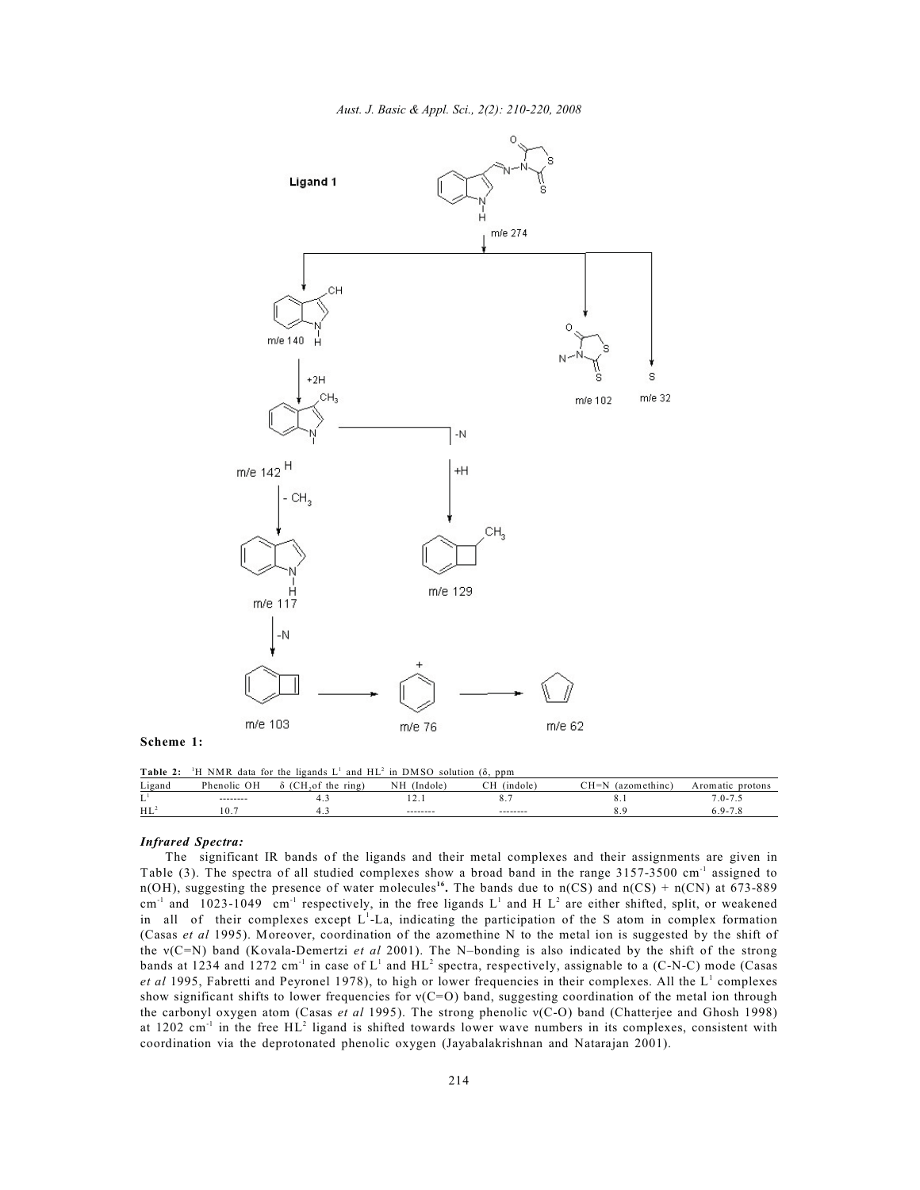

**Scheme 1:**

**Table 2:** <sup>1</sup>H NMR data for the ligands  $L^1$  and  $HL^2$  in DMSO solution ( $\delta$ , ppm Ligand Phenolic OH  $\delta$  (CH<sub>2</sub>of the ring) NH (Indole) CH (indole) CH=N (azomethinc) Aromatic protons  $L<sup>1</sup>$  ------- 4.3 12.1 8.7 8.1 7.0-7.5 HL 10.7 4.3 -------- -------- 8.9 6.9-7.8 <sup>2</sup>

## *Infrared Spectra:*

The significant IR bands of the ligands and their metal complexes and their assignments are given in Table (3). The spectra of all studied complexes show a broad band in the range  $3157-3500$  cm<sup>-1</sup> assigned to n(OH), suggesting the presence of water molecules<sup>16</sup>. The bands due to n(CS) and n(CS) + n(CN) at 673-889 cm<sup>-1</sup> and 1023-1049 cm<sup>-1</sup> respectively, in the free ligands L<sup>1</sup> and H L<sup>2</sup> are either shifted, split, or weakened in all of their complexes except  $L<sup>1</sup>$ -La, indicating the participation of the S atom in complex formation (Casas *et al* 1995). Moreover, coordination of the azomethine N to the metal ion is suggested by the shift of the v(C=N) band (Kovala-Demertzi *et al* 2001). The N–bonding is also indicated by the shift of the strong bands at 1234 and 1272 cm<sup>-1</sup> in case of  $L^1$  and  $HL^2$  spectra, respectively, assignable to a (C-N-C) mode (Casas *et al* 1995, Fabretti and Peyronel 1978), to high or lower frequencies in their complexes. All the L<sup>1</sup> complexes show significant shifts to lower frequencies for  $v(C=O)$  band, suggesting coordination of the metal ion through the carbonyl oxygen atom (Casas et al 1995). The strong phenolic v(C-O) band (Chatterjee and Ghosh 1998) at 1202 cm<sup>-1</sup> in the free HL<sup>2</sup> ligand is shifted towards lower wave numbers in its complexes, consistent with coordination via the deprotonated phenolic oxygen (Jayabalakrishnan and Natarajan 2001).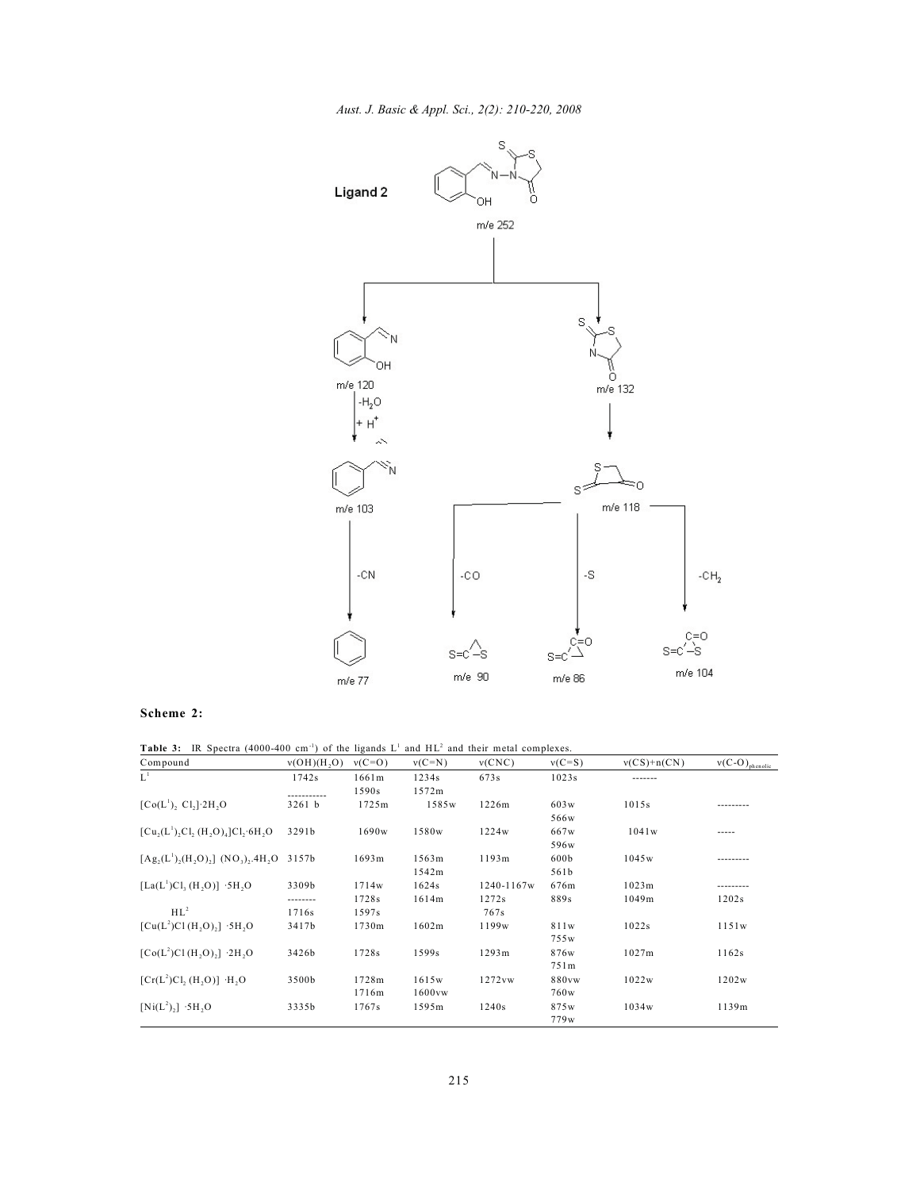*Aust. J. Basic & Appl. Sci., 2(2): 210-220, 2008*



# **Scheme 2:**

Table 3: IR Spectra (4000-400 cm<sup>-1</sup>) of the ligands L<sup>1</sup> and HL<sup>2</sup> and their metal complexes.

| Compound                                                       | v(OH)(H,O) | $v(C=O)$ | $v(C=N)$ | v(CNC)     | $v(C=S)$ | $v(CS)+n(CN)$ | $v(C-O)_{\text{phenolic}}$ |
|----------------------------------------------------------------|------------|----------|----------|------------|----------|---------------|----------------------------|
| $L^1$                                                          | 1742s      | 1661m    | 1234s    | 673s       | 1023s    | -------       |                            |
|                                                                |            | 1590s    | 1572m    |            |          |               |                            |
| $[Co(L1), Cl, ]2H, O$                                          | $3261$ b   | 1725m    | 1585w    | 1226m      | 603w     | 1015s         |                            |
|                                                                |            |          |          |            | 566w     |               |                            |
| $[Cu, (L^1), Cl, (H, O)4]Cl, 6H, O$                            | 3291b      | 1690w    | 1580w    | 1224w      | 667w     | 1041w         | -----                      |
|                                                                |            |          |          |            | 596w     |               |                            |
| $[A, g, (L^1), (H, O),]$ (NO <sub>3</sub> ), 4H <sub>2</sub> O | 3157b      | 1693m    | 1563m    | 1193m      | 600b     | 1045w         |                            |
|                                                                |            |          | 1542m    |            | 561b     |               |                            |
| $[La(L^{1})Cl, (H, O)]$ .5H, O                                 | 3309b      | 1714w    | 1624s    | 1240-1167w | 676m     | 1023m         |                            |
|                                                                | --------   | 1728s    | 1614m    | 1272s      | 889s     | 1049m         | 1202s                      |
| $HL^2$                                                         | 1716s      | 1597s    |          | 767s       |          |               |                            |
| $[Cu(L2)Cl(H, O),]$ .5H, O                                     | 3417b      | 1730m    | 1602m    | 1199w      | 811w     | 1022s         | 1151w                      |
|                                                                |            |          |          |            | 755w     |               |                            |
| $[Co(L2)Cl(H, O),]$ $\cdot$ 2H <sub>2</sub> O                  | 3426b      | 1728s    | 1599s    | 1293m      | 876w     | 1027m         | 1162s                      |
|                                                                |            |          |          |            | 751m     |               |                            |
| $[Cr(L2)Cl, (H, O)]$ ·H <sub>1</sub> O                         | 3500b      | 1728m    | 1615w    | 1272vw     | 880vw    | 1022w         | 1202w                      |
|                                                                |            | 1716m    | 1600vw   |            | 760w     |               |                            |
| $[Ni(L^2),]$ ·5H <sub>2</sub> O                                | 3335b      | 1767s    | 1595m    | 1240s      | 875w     | 1034w         | 1139m                      |
|                                                                |            |          |          |            | 779w     |               |                            |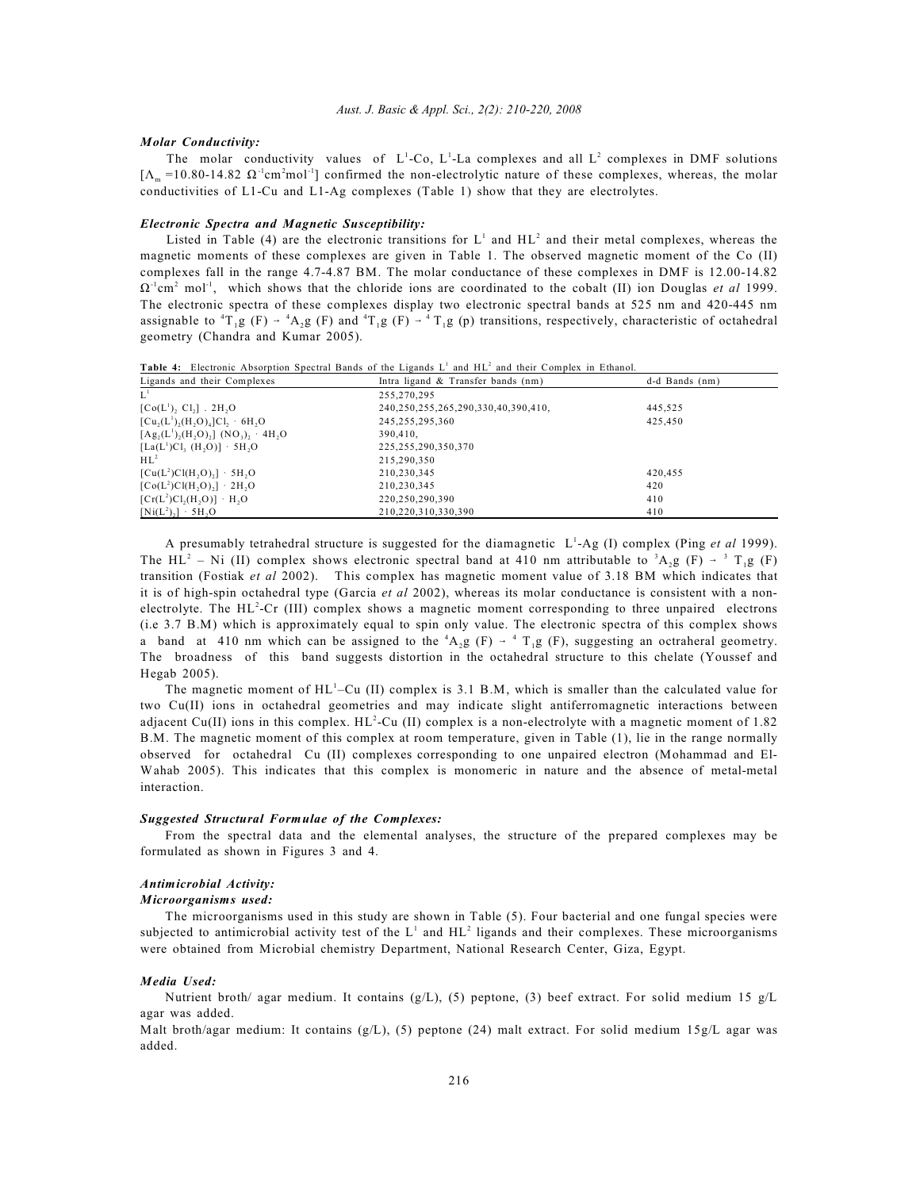### *Molar Conductivity:*

The molar conductivity values of  $L^1$ -Co,  $L^1$ -La complexes and all  $L^2$  complexes in DMF solutions  $[\Lambda_m = 10.80$ -14.82  $\Omega^{-1}$ cm<sup>2</sup>mol<sup>-1</sup>] confirmed the non-electrolytic nature of these complexes, whereas, the molar conductivities of L1-Cu and L1-Ag complexes (Table 1) show that they are electrolytes.

### *Electronic Spectra and Magnetic Susceptibility:*

Listed in Table (4) are the electronic transitions for  $L^1$  and  $HL^2$  and their metal complexes, whereas the magnetic moments of these complexes are given in Table 1. The observed magnetic moment of the Co (II) complexes fall in the range 4.7-4.87 BM. The molar conductance of these complexes in DMF is 12.00-14.82  $\Omega^{-1}$ cm<sup>2</sup> mol<sup>-1</sup>, which shows that the chloride ions are coordinated to the cobalt (II) ion Douglas *et al* 1999. The electronic spectra of these complexes display two electronic spectral bands at 525 nm and 420-445 nm assignable to <sup>4</sup>T<sub>1</sub>g (F)  $\rightarrow$  <sup>4</sup>A<sub>2</sub>g (F) and <sup>4</sup>T<sub>1</sub>g (F)  $\rightarrow$  <sup>4</sup>T<sub>1</sub>g (p) transitions, respectively, characteristic of octahedral geometry (Chandra and Kumar 2005).

Table 4: Electronic Absorption Spectral Bands of the Ligands L<sup>1</sup> and HL<sup>2</sup> and their Complex in Ethanol.

| Ligands and their Complexes                                  | Intra ligand & Transfer bands (nm)  | d-d Bands (nm) |
|--------------------------------------------------------------|-------------------------------------|----------------|
| $L^1$                                                        | 255,270,295                         |                |
| $[Co(L1), C1,]$ . 2H,O                                       | 240,250,255,265,290,330,40,390,410, | 445,525        |
| $[Cu_2(L^1), (H, O)_4]Cl_2$ · 6H, O                          | 245,255,295,360                     | 425,450        |
| $[Ag_2(L^1), (H, O),]$ (NO <sub>3</sub> ), 4H <sub>2</sub> O | 390,410,                            |                |
| $[La(L^{1})Cl, (H, O)] \cdot 5H, O$                          | 225, 255, 290, 350, 370             |                |
| $HL^2$                                                       | 215,290,350                         |                |
| $[Cu(L2)Cl(H, O),] \cdot 5H, O$                              | 210,230,345                         | 420,455        |
| $[Co(L2)Cl(H, O),]$ · 2H, O                                  | 210,230,345                         | 420            |
| $[Cr(L2)Cl2(H2O)] \cdot H2O$                                 | 220,250,290,390                     | 410            |
| $[Ni(L^2),] \cdot 5H, O$                                     | 210.220.310.330.390                 | 410            |

A presumably tetrahedral structure is suggested for the diamagnetic  $L^1$ -Ag (I) complex (Ping *et al* 1999). The HL<sup>2</sup> – Ni (II) complex shows electronic spectral band at 410 nm attributable to <sup>3</sup>A<sub>2</sub>g (F)  $\rightarrow$  <sup>3</sup> T<sub>1</sub>g (F) transition (Fostiak *et al* 2002). This complex has magnetic moment value of 3.18 BM which indicates that it is of high-spin octahedral type (Garcia *et al* 2002), whereas its molar conductance is consistent with a nonelectrolyte. The HL<sup>2</sup>-Cr (III) complex shows a magnetic moment corresponding to three unpaired electrons (i.e 3.7 B.M) which is approximately equal to spin only value. The electronic spectra of this complex shows a band at 410 nm which can be assigned to the  ${}^{4}A_{2}g$  (F)  $\rightarrow$   ${}^{4}T_{1}g$  (F), suggesting an octraheral geometry. The broadness of this band suggests distortion in the octahedral structure to this chelate (Youssef and Hegab 2005).

The magnetic moment of  $HL^{\perp}-Cu$  (II) complex is 3.1 B.M, which is smaller than the calculated value for two Cu(II) ions in octahedral geometries and may indicate slight antiferromagnetic interactions between adjacent Cu(II) ions in this complex.  $HL^2$ -Cu (II) complex is a non-electrolyte with a magnetic moment of 1.82 B.M. The magnetic moment of this complex at room temperature, given in Table (1), lie in the range normally observed for octahedral Cu (II) complexes corresponding to one unpaired electron (Mohammad and El-Wahab 2005). This indicates that this complex is monomeric in nature and the absence of metal-metal interaction.

### *Suggested Structural Formulae of the Complexes:*

From the spectral data and the elemental analyses, the structure of the prepared complexes may be formulated as shown in Figures 3 and 4.

## *Antimicrobial Activity:*

### *Microorganisms used:*

The microorganisms used in this study are shown in Table (5). Four bacterial and one fungal species were subjected to antimicrobial activity test of the  $L^1$  and  $HL^2$  ligands and their complexes. These microorganisms were obtained from Microbial chemistry Department, National Research Center, Giza, Egypt.

### *Media Used:*

Nutrient broth/ agar medium. It contains (g/L), (5) peptone, (3) beef extract. For solid medium 15 g/L agar was added.

Malt broth/agar medium: It contains  $(g/L)$ , (5) peptone (24) malt extract. For solid medium 15g/L agar was added.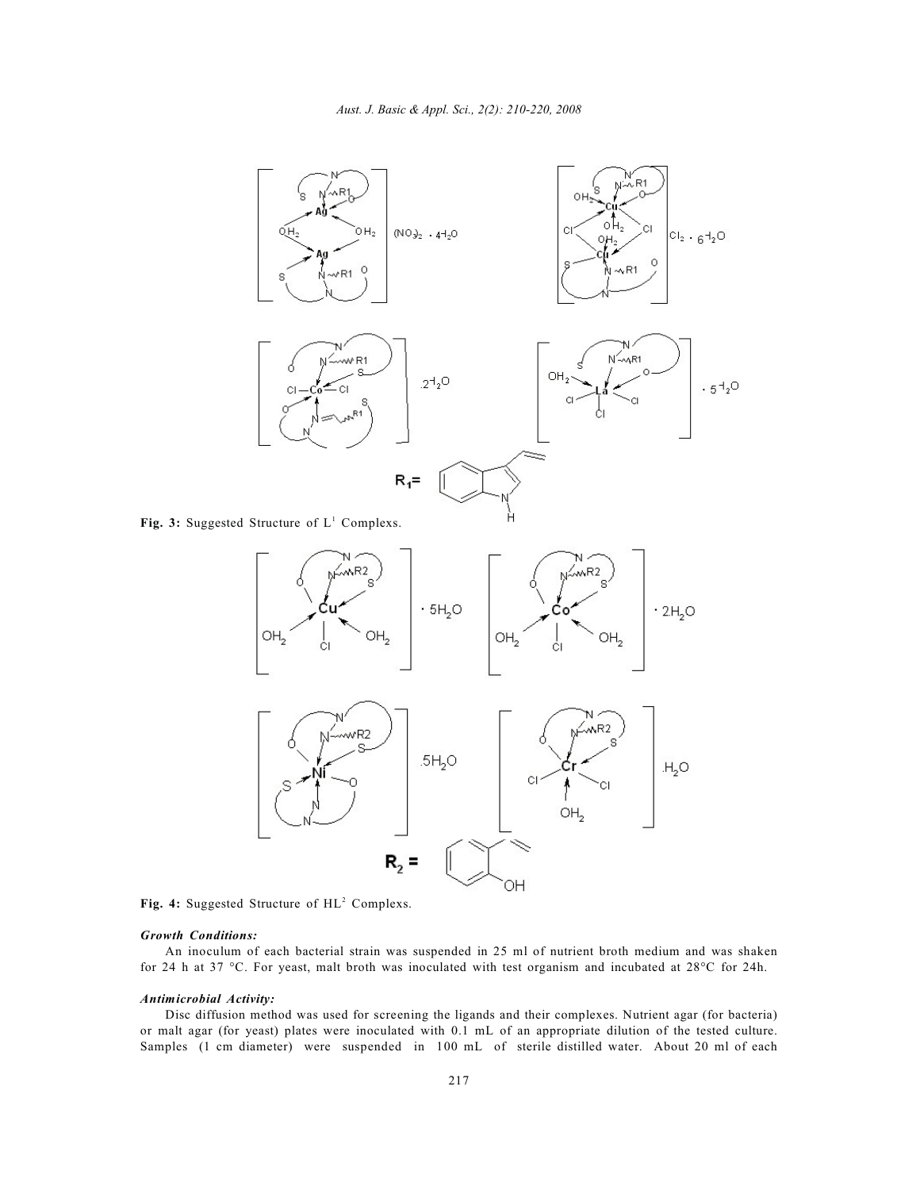

Fig. 3: Suggested Structure of  $L^1$  Complexs.



Fig. 4: Suggested Structure of HL<sup>2</sup> Complexs.

# *Growth Conditions:*

An inoculum of each bacterial strain was suspended in 25 ml of nutrient broth medium and was shaken for 24 h at 37 °C. For yeast, malt broth was inoculated with test organism and incubated at 28°C for 24h.

# *Antimicrobial Activity:*

Disc diffusion method was used for screening the ligands and their complexes. Nutrient agar (for bacteria) or malt agar (for yeast) plates were inoculated with 0.1 mL of an appropriate dilution of the tested culture. Samples (1 cm diameter) were suspended in 100 mL of sterile distilled water. About 20 ml of each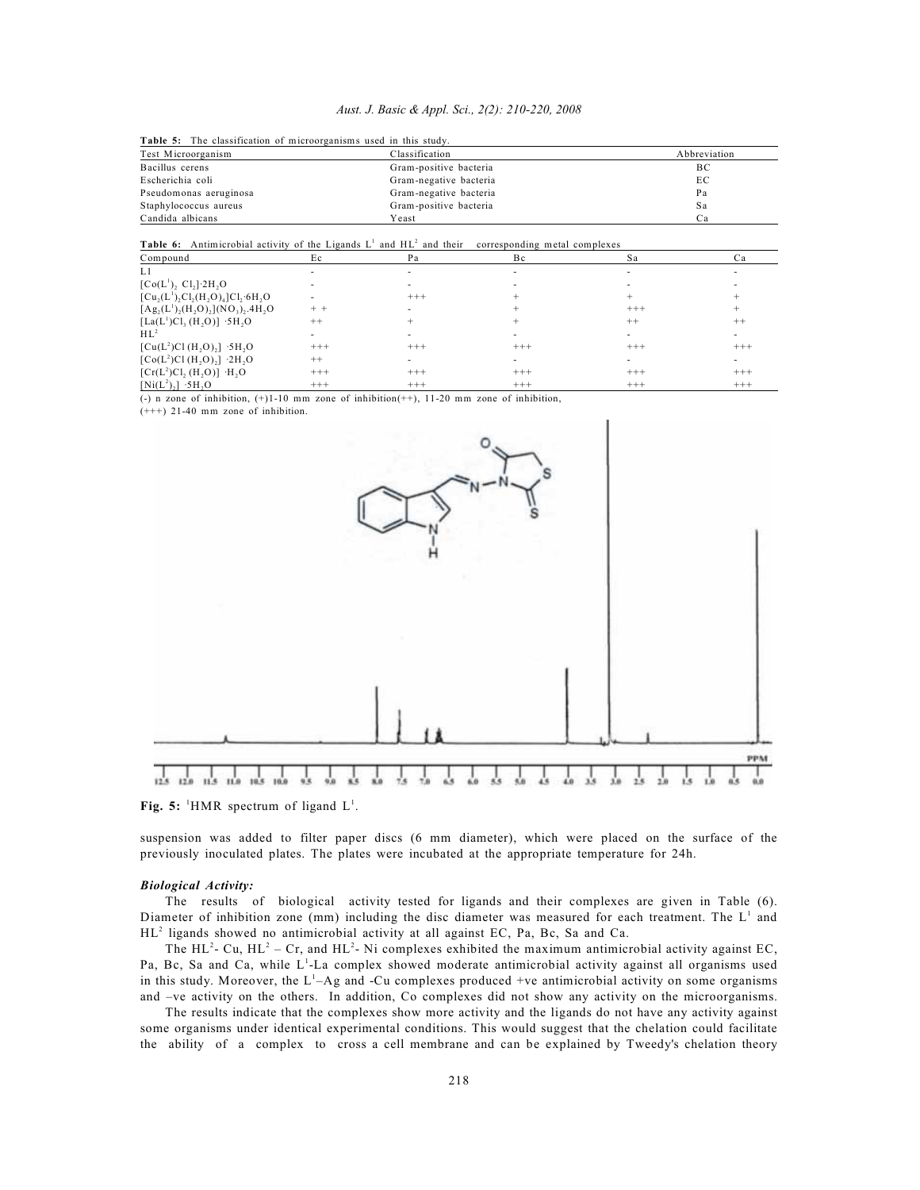|  |  |  |  |  | Aust. J. Basic & Appl. Sci., 2(2): 210-220, 2008 |  |
|--|--|--|--|--|--------------------------------------------------|--|
|--|--|--|--|--|--------------------------------------------------|--|

**Table 5:** The classification of microorganisms used in this study.

|                        | THERE OF THE CHAPTILL CHAINS OF HILL COLLEGILLY GOVG IN HILL STREET. |              |  |  |  |  |  |
|------------------------|----------------------------------------------------------------------|--------------|--|--|--|--|--|
| Test Microorganism     | Classification                                                       | Abbreviation |  |  |  |  |  |
| Bacillus cerens        | Gram-positive bacteria                                               | ВC           |  |  |  |  |  |
| Escherichia coli       | Gram-negative bacteria                                               | EС           |  |  |  |  |  |
| Pseudomonas aeruginosa | Gram-negative bacteria                                               | Pa           |  |  |  |  |  |
| Staphylococcus aureus  | Gram-positive bacteria                                               | Sa           |  |  |  |  |  |
| Candida albicans       | Yeast                                                                | Ca           |  |  |  |  |  |
|                        |                                                                      |              |  |  |  |  |  |

#### Table 6: Antimicrobial activity of the Ligands L<sup>1</sup> and HL<sup>2</sup> and their corresponding metal complexes

| Compound                                                                          | Ec       | Pa       | Bc       | Sa                       | Ca       |
|-----------------------------------------------------------------------------------|----------|----------|----------|--------------------------|----------|
| L1                                                                                |          |          |          |                          |          |
| $[Co(L^{1}), Cl_{2}]$ 2H <sub>2</sub> O                                           |          |          |          |                          |          |
| $[Cu,(L1),Cl,(H,O)4]Cl,(6H, O)$                                                   |          | $^{+++}$ |          |                          |          |
| $[Ag_2(L^1)_2(H_2O)_2](NO_3)_2.4H_2O$                                             |          |          |          | $^{+++}$                 |          |
| [La(L <sup>1</sup> )Cl <sub>3</sub> (H <sub>2</sub> O)] $\cdot$ 5H <sub>2</sub> O | $++$     |          |          | $^{++}$                  | $++$     |
| $HL^2$                                                                            |          |          |          |                          |          |
| $[Cu(L2)Cl(H, O)2]$ .5H, O                                                        | $^{+++}$ | $^{+++}$ | $^{+++}$ | $^{+++}$                 | $+++$    |
| $[Co(L2)Cl(H, O),]$ 2H, O                                                         | $++$     |          |          | $\overline{\phantom{a}}$ |          |
| $[Cr(L2)Cl, (H, O)]$ ·H <sub>1</sub> O                                            | $+++$    | $+++$    | $+++$    | $+++$                    | $+++$    |
| $[Ni(L^2),]$ .5H <sub>2</sub> O                                                   | $^{+++}$ | $+++$    | $^{+++}$ | $^{+++}$                 | $^{+++}$ |

(-) n zone of inhibition, (+)1-10 mm zone of inhibition(++), 11-20 mm zone of inhibition,

(+++) 21-40 mm zone of inhibition.



**Fig. 5:** <sup>1</sup>HMR spectrum of ligand  $L^1$ .

suspension was added to filter paper discs (6 mm diameter), which were placed on the surface of the previously inoculated plates. The plates were incubated at the appropriate temperature for 24h.

## *Biological Activity:*

The results of biological activity tested for ligands and their complexes are given in Table (6). Diameter of inhibition zone (mm) including the disc diameter was measured for each treatment. The  $L^1$  and  $HL^2$  ligands showed no antimicrobial activity at all against EC, Pa, Bc, Sa and Ca.

The HL<sup>2</sup>- Cu, HL<sup>2</sup> – Cr, and HL<sup>2</sup>- Ni complexes exhibited the maximum antimicrobial activity against EC, Pa, Bc, Sa and Ca, while L<sup>1</sup>-La complex showed moderate antimicrobial activity against all organisms used in this study. Moreover, the  $L<sup>1</sup>-Ag$  and -Cu complexes produced +ve antimicrobial activity on some organisms and –ve activity on the others. In addition, Co complexes did not show any activity on the microorganisms.

The results indicate that the complexes show more activity and the ligands do not have any activity against some organisms under identical experimental conditions. This would suggest that the chelation could facilitate the ability of a complex to cross a cell membrane and can be explained by Tweedy's chelation theory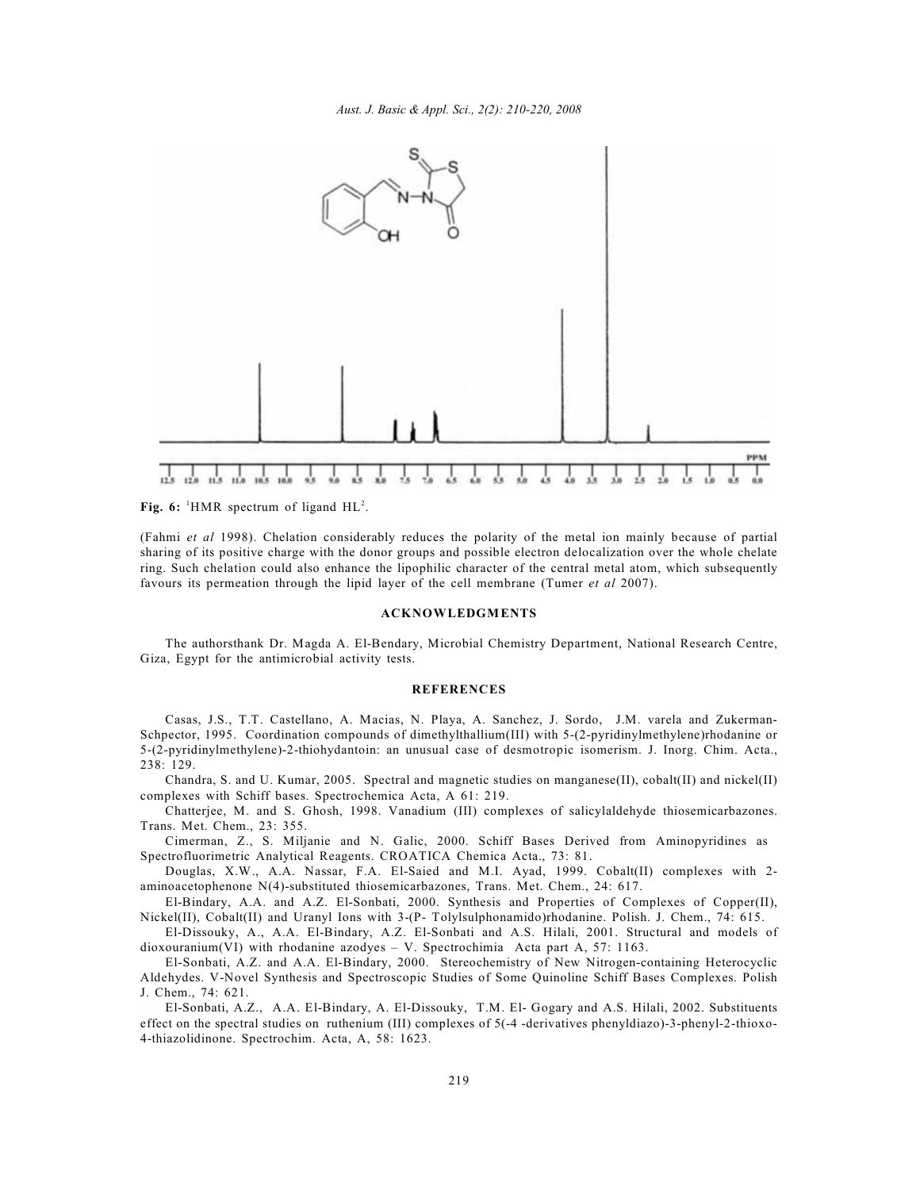

**Fig. 6:** <sup>1</sup>HMR spectrum of ligand  $HL^2$ .

(Fahmi *et al* 1998). Chelation considerably reduces the polarity of the metal ion mainly because of partial sharing of its positive charge with the donor groups and possible electron delocalization over the whole chelate ring. Such chelation could also enhance the lipophilic character of the central metal atom, which subsequently favours its permeation through the lipid layer of the cell membrane (Tumer *et al* 2007).

### **ACKNOWLEDGMENTS**

The authorsthank Dr. Magda A. El-Bendary, Microbial Chemistry Department, National Research Centre, Giza, Egypt for the antimicrobial activity tests.

### **REFERENCES**

Casas, J.S., T.T. Castellano, A. Macias, N. Playa, A. Sanchez, J. Sordo, J.M. varela and Zukerman-Schpector, 1995. Coordination compounds of dimethylthallium(III) with 5-(2-pyridinylmethylene)rhodanine or 5-(2-pyridinylmethylene)-2-thiohydantoin: an unusual case of desmotropic isomerism. J. Inorg. Chim. Acta., 238: 129.

Chandra, S. and U. Kumar, 2005. Spectral and magnetic studies on manganese(II), cobalt(II) and nickel(II) complexes with Schiff bases. Spectrochemica Acta, A 61: 219.

Chatterjee, M. and S. Ghosh, 1998. Vanadium (III) complexes of salicylaldehyde thiosemicarbazones. Trans. Met. Chem., 23: 355.

Cimerman, Z., S. Miljanie and N. Galic, 2000. Schiff Bases Derived from Aminopyridines as Spectrofluorimetric Analytical Reagents. CROATICA Chemica Acta., 73: 81.

Douglas, X.W., A.A. Nassar, F.A. El-Saied and M.I. Ayad, 1999. Cobalt(II) complexes with 2 aminoacetophenone N(4)-substituted thiosemicarbazones, Trans. Met. Chem., 24: 617.

El-Bindary, A.A. and A.Z. El-Sonbati, 2000. Synthesis and Properties of Complexes of Copper(II), Nickel(II), Cobalt(II) and Uranyl Ions with 3-(P- Tolylsulphonamido)rhodanine. Polish. J. Chem., 74: 615.

El-Dissouky, A., A.A. El-Bindary, A.Z. El-Sonbati and A.S. Hilali, 2001. Structural and models of dioxouranium(VI) with rhodanine azodyes – V. Spectrochimia Acta part A, 57: 1163.

El-Sonbati, A.Z. and A.A. El-Bindary, 2000. Stereochemistry of New Nitrogen-containing Heterocyclic Aldehydes. V-Novel Synthesis and Spectroscopic Studies of Some Quinoline Schiff Bases Complexes. Polish J. Chem., 74: 621.

El-Sonbati, A.Z., A.A. El-Bindary, A. El-Dissouky, T.M. El- Gogary and A.S. Hilali, 2002. Substituents effect on the spectral studies on ruthenium (III) complexes of 5(-4 -derivatives phenyldiazo)-3-phenyl-2-thioxo-4-thiazolidinone. Spectrochim. Acta, A, 58: 1623.